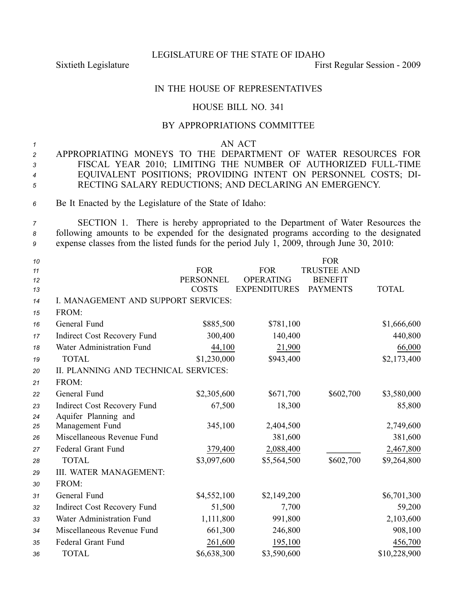LEGISLATURE OF THE STATE OF IDAHO

Sixtieth Legislature First Regular Session - 2009

## IN THE HOUSE OF REPRESENTATIVES

## HOUSE BILL NO. 341

## BY APPROPRIATIONS COMMITTEE

*<sup>1</sup>* AN ACT

- *<sup>2</sup>* APPROPRIATING MONEYS TO THE DEPARTMENT OF WATER RESOURCES FOR *<sup>3</sup>* FISCAL YEAR 2010; LIMITING THE NUMBER OF AUTHORIZED FULLTIME *<sup>4</sup>* EQUIVALENT POSITIONS; PROVIDING INTENT ON PERSONNEL COSTS; DI-*<sup>5</sup>* RECTING SALARY REDUCTIONS; AND DECLARING AN EMERGENCY.
- *<sup>6</sup>* Be It Enacted by the Legislature of the State of Idaho:
- *<sup>7</sup>* SECTION 1. There is hereby appropriated to the Department of Water Resources the *<sup>8</sup>* following amounts to be expended for the designated programs according to the designated *<sup>9</sup>* expense classes from the listed funds for the period July 1, 2009, through June 30, 2010:

| 10<br>11<br>12<br>13 |                                      | <b>FOR</b><br><b>PERSONNEL</b><br><b>COSTS</b> | <b>FOR</b><br><b>OPERATING</b><br><b>EXPENDITURES</b> | <b>FOR</b><br><b>TRUSTEE AND</b><br><b>BENEFIT</b><br><b>PAYMENTS</b> | <b>TOTAL</b> |
|----------------------|--------------------------------------|------------------------------------------------|-------------------------------------------------------|-----------------------------------------------------------------------|--------------|
| 14                   | I. MANAGEMENT AND SUPPORT SERVICES:  |                                                |                                                       |                                                                       |              |
| 15                   | FROM:                                |                                                |                                                       |                                                                       |              |
| 16                   | General Fund                         | \$885,500                                      | \$781,100                                             |                                                                       | \$1,666,600  |
| 17                   | Indirect Cost Recovery Fund          | 300,400                                        | 140,400                                               |                                                                       | 440,800      |
| 18                   | Water Administration Fund            | 44,100                                         | 21,900                                                |                                                                       | 66,000       |
| 19                   | <b>TOTAL</b>                         | \$1,230,000                                    | \$943,400                                             |                                                                       | \$2,173,400  |
| 20                   | II. PLANNING AND TECHNICAL SERVICES: |                                                |                                                       |                                                                       |              |
| 21                   | FROM:                                |                                                |                                                       |                                                                       |              |
| 22                   | General Fund                         | \$2,305,600                                    | \$671,700                                             | \$602,700                                                             | \$3,580,000  |
| 23                   | Indirect Cost Recovery Fund          | 67,500                                         | 18,300                                                |                                                                       | 85,800       |
| 24                   | Aquifer Planning and                 |                                                |                                                       |                                                                       |              |
| 25                   | Management Fund                      | 345,100                                        | 2,404,500                                             |                                                                       | 2,749,600    |
| 26                   | Miscellaneous Revenue Fund           |                                                | 381,600                                               |                                                                       | 381,600      |
| 27                   | Federal Grant Fund                   | 379,400                                        | 2,088,400                                             |                                                                       | 2,467,800    |
| 28                   | <b>TOTAL</b>                         | \$3,097,600                                    | \$5,564,500                                           | \$602,700                                                             | \$9,264,800  |
| 29                   | III. WATER MANAGEMENT:               |                                                |                                                       |                                                                       |              |
| 30                   | FROM:                                |                                                |                                                       |                                                                       |              |
| 31                   | General Fund                         | \$4,552,100                                    | \$2,149,200                                           |                                                                       | \$6,701,300  |
| 32                   | Indirect Cost Recovery Fund          | 51,500                                         | 7,700                                                 |                                                                       | 59,200       |
| 33                   | Water Administration Fund            | 1,111,800                                      | 991,800                                               |                                                                       | 2,103,600    |
| 34                   | Miscellaneous Revenue Fund           | 661,300                                        | 246,800                                               |                                                                       | 908,100      |
| 35                   | Federal Grant Fund                   | 261,600                                        | 195,100                                               |                                                                       | 456,700      |
| 36                   | <b>TOTAL</b>                         | \$6,638,300                                    | \$3,590,600                                           |                                                                       | \$10,228,900 |